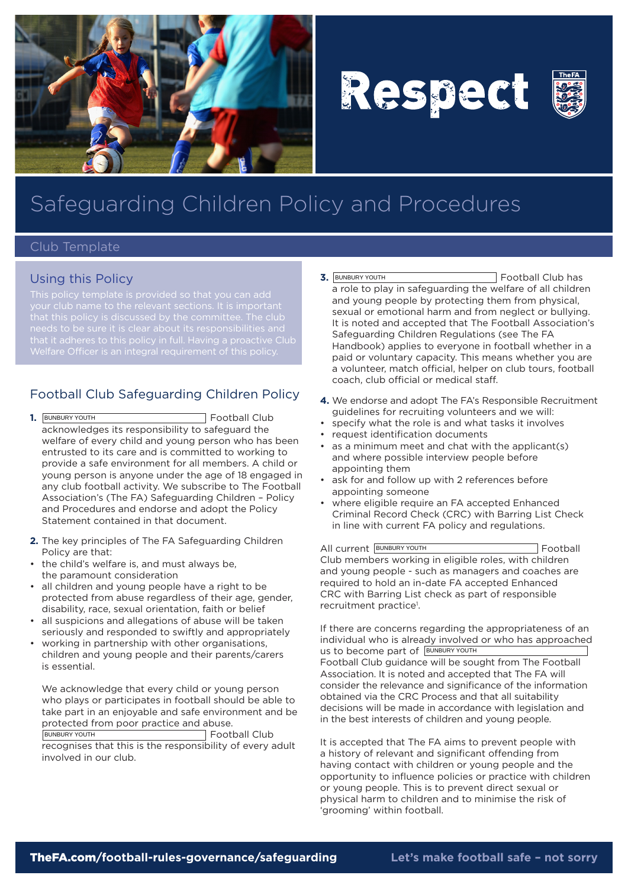

# Respect



## Safeguarding Children Policy and Procedures

#### Club Template

#### Using this Policy

that it adheres to this policy in full. Having a proactive Club

### Football Club Safeguarding Children Policy

- **1.** Football Club acknowledges its responsibility to safeguard the welfare of every child and young person who has been entrusted to its care and is committed to working to provide a safe environment for all members. A child or young person is anyone under the age of 18 engaged in any club football activity. We subscribe to The Football Association's (The FA) Safeguarding Children – Policy and Procedures and endorse and adopt the Policy Statement contained in that document. 1. BUNBURY YOUTH
- **2.** The key principles of The FA Safeguarding Children Policy are that:
- the child's welfare is, and must always be, the paramount consideration
- all children and young people have a right to be protected from abuse regardless of their age, gender, disability, race, sexual orientation, faith or belief
- all suspicions and allegations of abuse will be taken seriously and responded to swiftly and appropriately
- working in partnership with other organisations, children and young people and their parents/carers is essential.

We acknowledge that every child or young person who plays or participates in football should be able to take part in an enjoyable and safe environment and be protected from poor practice and abuse.

BUNBURY YOUTH **Football Club** recognises that this is the responsibility of every adult involved in our club.

- **3.** Football Club has a role to play in safeguarding the welfare of all children and young people by protecting them from physical, sexual or emotional harm and from neglect or bullying. It is noted and accepted that The Football Association's Safeguarding Children Regulations (see The FA Handbook) applies to everyone in football whether in a paid or voluntary capacity. This means whether you are a volunteer, match official, helper on club tours, football coach, club official or medical staff. **3. BUNBURY YOUTH**
- **4.** We endorse and adopt The FA's Responsible Recruitment guidelines for recruiting volunteers and we will:
- • specify what the role is and what tasks it involves
- • request identification documents
- • as a minimum meet and chat with the applicant(s) and where possible interview people before appointing them
- ask for and follow up with 2 references before appointing someone
- where eligible require an FA accepted Enhanced Criminal Record Check (CRC) with Barring List Check in line with current FA policy and regulations.

All current **BUNBURY YOUTH Example 2** Football Club members working in eligible roles, with children and young people - such as managers and coaches are required to hold an in-date FA accepted Enhanced CRC with Barring List check as part of responsible recruitment practice<sup>1</sup>.

If there are concerns regarding the appropriateness of an individual who is already involved or who has approached us to become part of BUNBURY YOUTH Football Club guidance will be sought from The Football Association. It is noted and accepted that The FA will consider the relevance and significance of the information obtained via the CRC Process and that all suitability decisions will be made in accordance with legislation and in the best interests of children and young people.

It is accepted that The FA aims to prevent people with a history of relevant and significant offending from having contact with children or young people and the opportunity to influence policies or practice with children or young people. This is to prevent direct sexual or physical harm to children and to minimise the risk of 'grooming' within football.